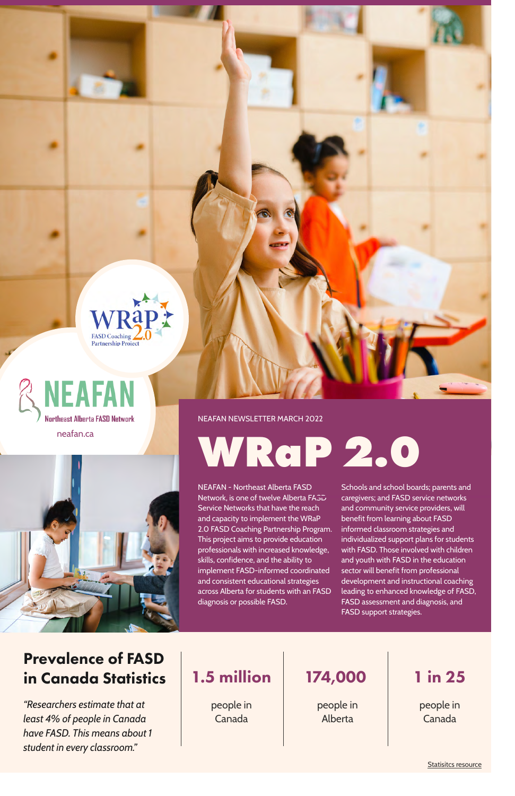NEAFAN - Northeast Alberta FASD Network, is one of twelve Alberta FASD Service Networks that have the reach and capacity to implement the WRaP 2.0 FASD Coaching Partnership Program. This project aims to provide education professionals with increased knowledge, skills, confidence, and the ability to implement FASD-informed coordinated and consistent educational strategies across Alberta for students with an FASD diagnosis or possible FASD.

#### Prevalence of FASD in Canada Statistics

[Statisitcs resource](https://canfasd.ca/wp-content/uploads/publications/Prevalence-1-Issue-Paper-FINAL.pdf)

Schools and school boards; parents and caregivers; and FASD service networks and community service providers, will benefit from learning about FASD informed classroom strategies and individualized support plans for students with FASD. Those involved with children and youth with FASD in the education sector will benefit from professional development and instructional coaching leading to enhanced knowledge of FASD, FASD assessment and diagnosis, and FASD support strategies.

**WRaP 2.0**

people in Canada

people in Alberta

people in Canada

*"Researchers estimate that at least 4% of people in Canada have FASD. This means about 1 student in every classroom."*

#### 1.5 million 174,000 1 in 25







NEAFAN NEWSLETTER MARCH 2022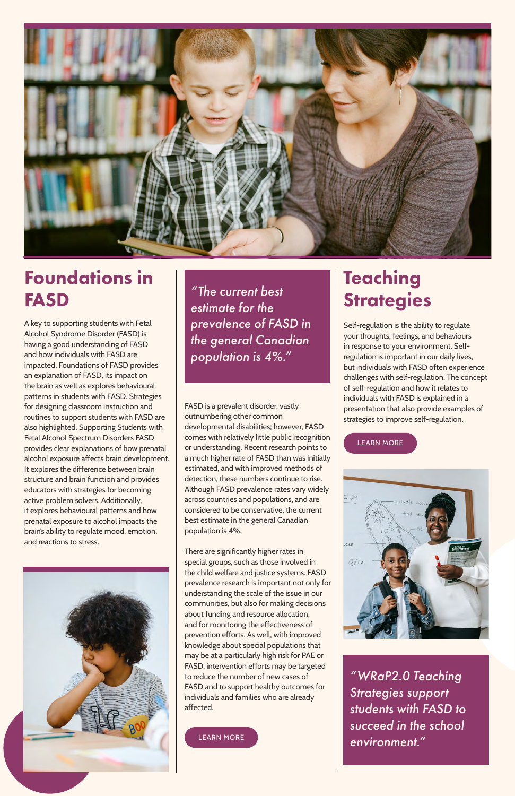

#### Foundations in FASD

### Teaching **Strategies**

A key to supporting students with Fetal Alcohol Syndrome Disorder (FASD) is having a good understanding of FASD and how individuals with FASD are impacted. Foundations of FASD provides an explanation of FASD, its impact on the brain as well as explores behavioural patterns in students with FASD. Strategies for designing classroom instruction and routines to support students with FASD are also highlighted. Supporting Students with Fetal Alcohol Spectrum Disorders FASD provides clear explanations of how prenatal alcohol exposure affects brain development. It explores the difference between brain structure and brain function and provides educators with strategies for becoming active problem solvers. Additionally, it explores behavioural patterns and how prenatal exposure to alcohol impacts the brain's ability to regulate mood, emotion, and reactions to stress.

> *"WRaP2.0 Teaching Strategies support students with FASD to succeed in the school*  [LEARN MORE](https://wrap2fasd.org/resources/foundations-in-fasd/) **Age (CARN MORE** )

Self-regulation is the ability to regulate your thoughts, feelings, and behaviours in response to your environment. Selfregulation is important in our daily lives, but individuals with FASD often experience challenges with self-regulation. The concept of self-regulation and how it relates to individuals with FASD is explained in a presentation that also provide examples of strategies to improve self-regulation.

*"The current best estimate for the prevalence of FASD in the general Canadian population is 4%."*

#### [LEARN MORE](https://wrap2fasd.org/resources/teaching-strategies/)





FASD is a prevalent disorder, vastly outnumbering other common developmental disabilities; however, FASD comes with relatively little public recognition or understanding. Recent research points to a much higher rate of FASD than was initially estimated, and with improved methods of detection, these numbers continue to rise. Although FASD prevalence rates vary widely across countries and populations, and are considered to be conservative, the current best estimate in the general Canadian population is 4%.

There are significantly higher rates in special groups, such as those involved in the child welfare and justice systems. FASD prevalence research is important not only for understanding the scale of the issue in our communities, but also for making decisions about funding and resource allocation, and for monitoring the effectiveness of prevention efforts. As well, with improved knowledge about special populations that may be at a particularly high risk for PAE or FASD, intervention efforts may be targeted to reduce the number of new cases of FASD and to support healthy outcomes for individuals and families who are already affected.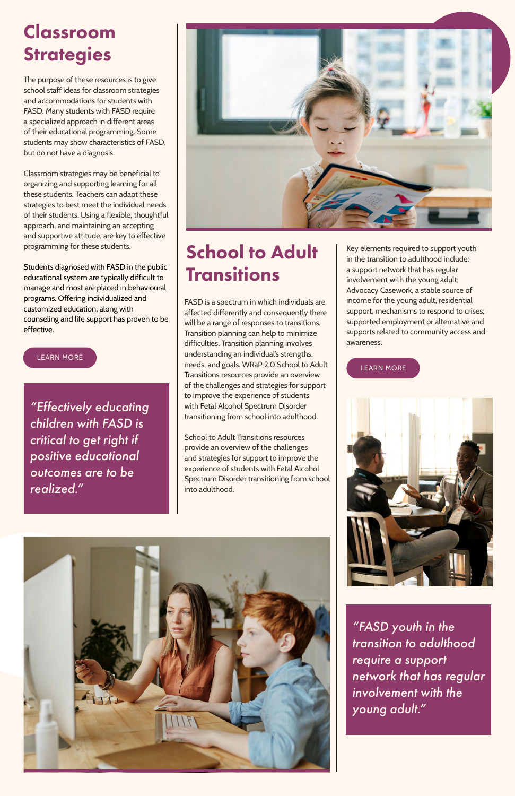FASD is a spectrum in which individuals are affected differently and consequently there will be a range of responses to transitions. Transition planning can help to minimize difficulties. Transition planning involves understanding an individual's strengths, needs, and goals. WRaP 2.0 School to Adult Transitions resources provide an overview of the challenges and strategies for support to improve the experience of students with Fetal Alcohol Spectrum Disorder transitioning from school into adulthood.

### School to Adult **Transitions**

School to Adult Transitions resources provide an overview of the challenges and strategies for support to improve the experience of students with Fetal Alcohol Spectrum Disorder transitioning from school into adulthood.

### Classroom **Strategies**

The purpose of these resources is to give school staff ideas for classroom strategies and accommodations for students with FASD. Many students with FASD require a specialized approach in different areas of their educational programming. Some students may show characteristics of FASD, but do not have a diagnosis.

Classroom strategies may be beneficial to organizing and supporting learning for all these students. Teachers can adapt these strategies to best meet the individual needs of their students. Using a flexible, thoughtful approach, and maintaining an accepting and supportive attitude, are key to effective programming for these students.

Students diagnosed with FASD in the public educational system are typically difficult to manage and most are placed in behavioural programs. Offering individualized and customized education, along with counseling and life support has proven to be effective.

*"Effectively educating children with FASD is critical to get right if positive educational outcomes are to be realized."*



*"FASD youth in the transition to adulthood require a support network that has regular involvement with the young adult."*

#### [LEARN MORE](https://wrap2fasd.org/resources/strategies-in-the-classroom/)

[LEARN MORE](https://wrap2fasd.org/resources/school-to-adulthood-transitions/)





Key elements required to support youth in the transition to adulthood include: a support network that has regular involvement with the young adult; Advocacy Casework, a stable source of income for the young adult, residential support, mechanisms to respond to crises; supported employment or alternative and supports related to community access and awareness.